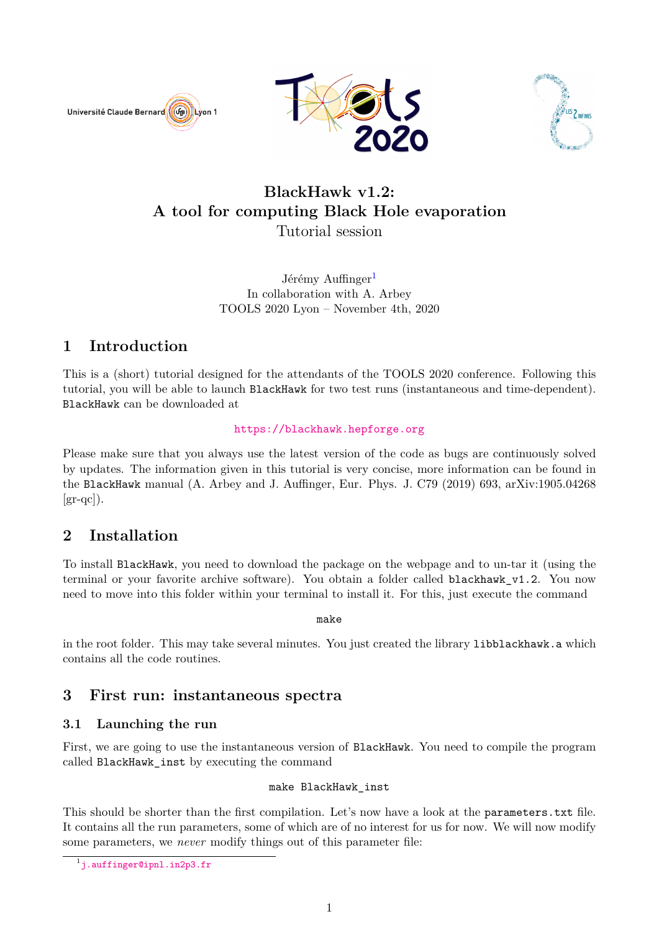





# **BlackHawk v1.2: A tool for computing Black Hole evaporation** Tutorial session

Jérémy Auffinger<sup>[1](#page-0-0)</sup> In collaboration with A. Arbey TOOLS 2020 Lyon – November 4th, 2020

# **1 Introduction**

This is a (short) tutorial designed for the attendants of the TOOLS 2020 conference. Following this tutorial, you will be able to launch BlackHawk for two test runs (instantaneous and time-dependent). BlackHawk can be downloaded at

### <https://blackhawk.hepforge.org>

Please make sure that you always use the latest version of the code as bugs are continuously solved by updates. The information given in this tutorial is very concise, more information can be found in the BlackHawk manual (A. Arbey and J. Auffinger, Eur. Phys. J. C79 (2019) 693, arXiv:1905.04268  $\left[\text{gr-qc}\right]$ ).

# **2 Installation**

To install BlackHawk, you need to download the package on the webpage and to un-tar it (using the terminal or your favorite archive software). You obtain a folder called blackhawk\_v1.2. You now need to move into this folder within your terminal to install it. For this, just execute the command

make

in the root folder. This may take several minutes. You just created the library libblackhawk.a which contains all the code routines.

## **3 First run: instantaneous spectra**

## **3.1 Launching the run**

First, we are going to use the instantaneous version of BlackHawk. You need to compile the program called BlackHawk\_inst by executing the command

### make BlackHawk\_inst

This should be shorter than the first compilation. Let's now have a look at the parameters.txt file. It contains all the run parameters, some of which are of no interest for us for now. We will now modify some parameters, we *never* modify things out of this parameter file:

<span id="page-0-0"></span><sup>1</sup> <j.auffinger@ipnl.in2p3.fr>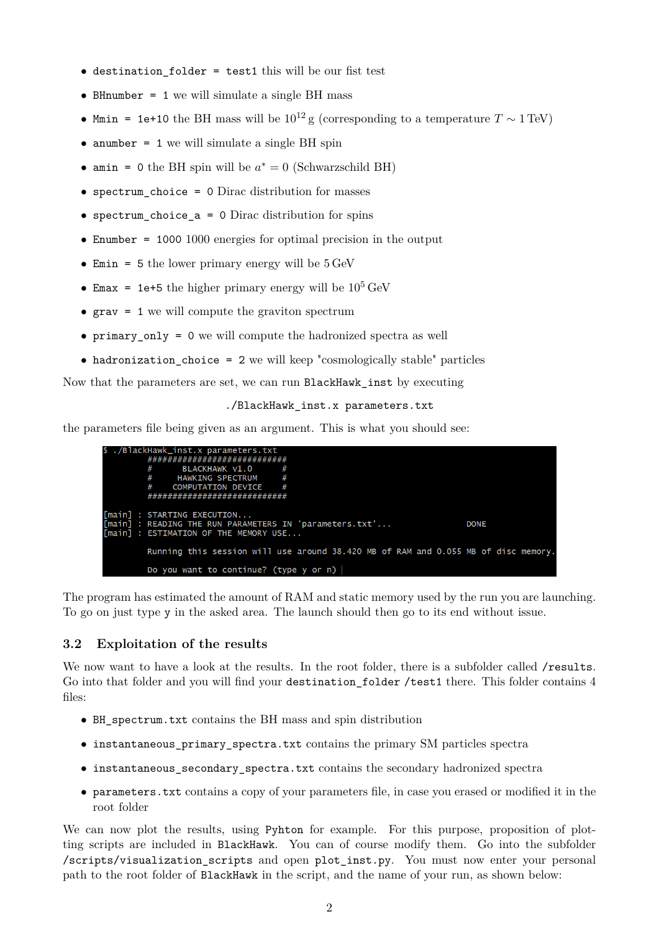- destination folder = test1 this will be our fist test
- BHnumber = 1 we will simulate a single BH mass
- Mmin = 1e+10 the BH mass will be  $10^{12}$  g (corresponding to a temperature  $T \sim 1 \text{ TeV}$ )
- anumber = 1 we will simulate a single BH spin
- amin = 0 the BH spin will be  $a^* = 0$  (Schwarzschild BH)
- spectrum\_choice = 0 Dirac distribution for masses
- spectrum\_choice\_a = 0 Dirac distribution for spins
- Enumber = 1000 1000 energies for optimal precision in the output
- Emin = 5 the lower primary energy will be  $5 \text{ GeV}$
- Emax = 1e+5 the higher primary energy will be  $10^5$  GeV
- $grav = 1$  we will compute the graviton spectrum
- primary only = 0 we will compute the hadronized spectra as well
- hadronization choice = 2 we will keep "cosmologically stable" particles

Now that the parameters are set, we can run BlackHawk\_inst by executing

#### ./BlackHawk\_inst.x parameters.txt

the parameters file being given as an argument. This is what you should see:



The program has estimated the amount of RAM and static memory used by the run you are launching. To go on just type y in the asked area. The launch should then go to its end without issue.

#### **3.2 Exploitation of the results**

We now want to have a look at the results. In the root folder, there is a subfolder called /results. Go into that folder and you will find your destination\_folder /test1 there. This folder contains 4 files:

- BH\_spectrum.txt contains the BH mass and spin distribution
- instantaneous\_primary\_spectra.txt contains the primary SM particles spectra
- instantaneous secondary spectra.txt contains the secondary hadronized spectra
- parameters.txt contains a copy of your parameters file, in case you erased or modified it in the root folder

We can now plot the results, using Pyhton for example. For this purpose, proposition of plotting scripts are included in BlackHawk. You can of course modify them. Go into the subfolder /scripts/visualization\_scripts and open plot\_inst.py. You must now enter your personal path to the root folder of BlackHawk in the script, and the name of your run, as shown below: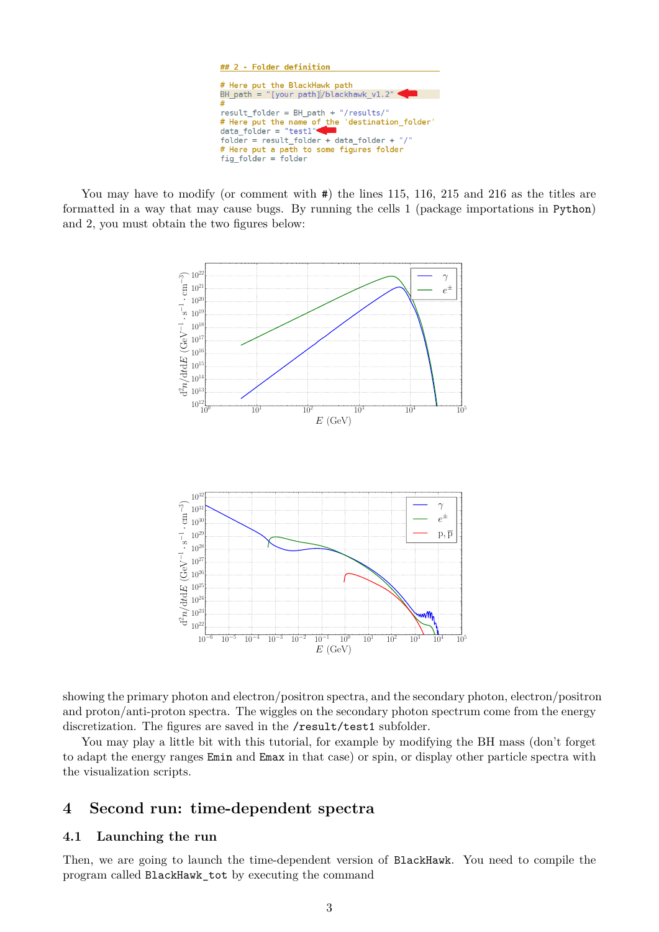

You may have to modify (or comment with  $\#$ ) the lines 115, 116, 215 and 216 as the titles are formatted in a way that may cause bugs. By running the cells 1 (package importations in Python) and 2, you must obtain the two figures below:



showing the primary photon and electron/positron spectra, and the secondary photon, electron/positron and proton/anti-proton spectra. The wiggles on the secondary photon spectrum come from the energy discretization. The figures are saved in the /result/test1 subfolder.

You may play a little bit with this tutorial, for example by modifying the BH mass (don't forget to adapt the energy ranges Emin and Emax in that case) or spin, or display other particle spectra with the visualization scripts.

## **4 Second run: time-dependent spectra**

### **4.1 Launching the run**

Then, we are going to launch the time-dependent version of BlackHawk. You need to compile the program called BlackHawk\_tot by executing the command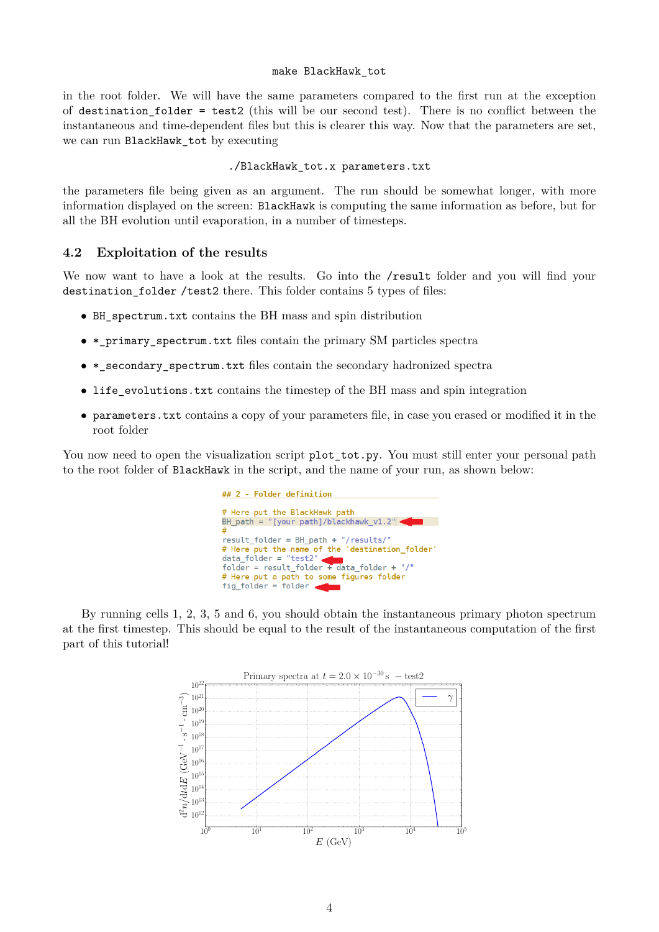#### make BlackHawk\_tot

in the root folder. We will have the same parameters compared to the first run at the exception of destination folder = test2 (this will be our second test). There is no conflict between the instantaneous and time-dependent files but this is clearer this way. Now that the parameters are set, we can run BlackHawk tot by executing

#### ./BlackHawk\_tot.x parameters.txt

the parameters file being given as an argument. The run should be somewhat longer, with more information displayed on the screen: BlackHawk is computing the same information as before, but for all the BH evolution until evaporation, in a number of timesteps.

#### **4.2 Exploitation of the results**

We now want to have a look at the results. Go into the /result folder and you will find your destination\_folder /test2 there. This folder contains 5 types of files:

- BH\_spectrum.txt contains the BH mass and spin distribution
- \*\_primary\_spectrum.txt files contain the primary SM particles spectra
- \*\_secondary\_spectrum.txt files contain the secondary hadronized spectra
- life\_evolutions.txt contains the timestep of the BH mass and spin integration
- parameters.txt contains a copy of your parameters file, in case you erased or modified it in the root folder

You now need to open the visualization script plot\_tot.py. You must still enter your personal path to the root folder of BlackHawk in the script, and the name of your run, as shown below:



By running cells 1, 2, 3, 5 and 6, you should obtain the instantaneous primary photon spectrum at the first timestep. This should be equal to the result of the instantaneous computation of the first part of this tutorial!